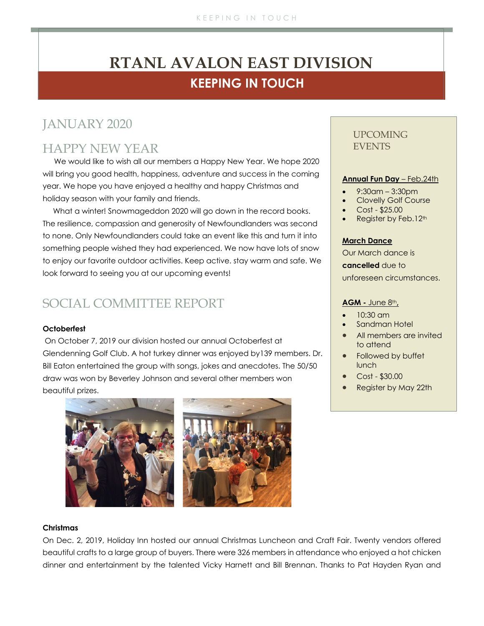# **KEEPING IN TOUCH RTANL AVALON EAST DIVISION**

# JANUARY 2020

### HAPPY NEW YEAR

We would like to wish all our members a Happy New Year. We hope 2020 will bring you good health, happiness, adventure and success in the coming year. We hope you have enjoyed a healthy and happy Christmas and holiday season with your family and friends.

 What a winter! Snowmageddon 2020 will go down in the record books. The resilience, compassion and generosity of Newfoundlanders was second to none. Only Newfoundlanders could take an event like this and turn it into something people wished they had experienced. We now have lots of snow to enjoy our favorite outdoor activities. Keep active. stay warm and safe. We look forward to seeing you at our upcoming events!

# SOCIAL COMMITTEE REPORT

### **Octoberfest**

On October 7, 2019 our division hosted our annual Octoberfest at Glendenning Golf Club. A hot turkey dinner was enjoyed by139 members. Dr. Bill Eaton entertained the group with songs, jokes and anecdotes. The 50/50 draw was won by Beverley Johnson and several other members won beautiful prizes.



### UPCOMING **EVENTS**

### **Annual Fun Day** – Feb.24th

- 9:30am 3:30pm
- Clovelly Golf Course
- Cost \$25.00
- Register by Feb.12<sup>th</sup>

### **March Dance**

Our March dance is **cancelled** due to unforeseen circumstances.

### **AGM -** June 8th**,**

- $10:30$  am
- Sandman Hotel
- All members are invited to attend
- Followed by buffet lunch
- Cost \$30.00
- Register by May 22th

#### **Christmas**

On Dec. 2, 2019, Holiday Inn hosted our annual Christmas Luncheon and Craft Fair. Twenty vendors offered beautiful crafts to a large group of buyers. There were 326 members in attendance who enjoyed a hot chicken dinner and entertainment by the talented Vicky Harnett and Bill Brennan. Thanks to Pat Hayden Ryan and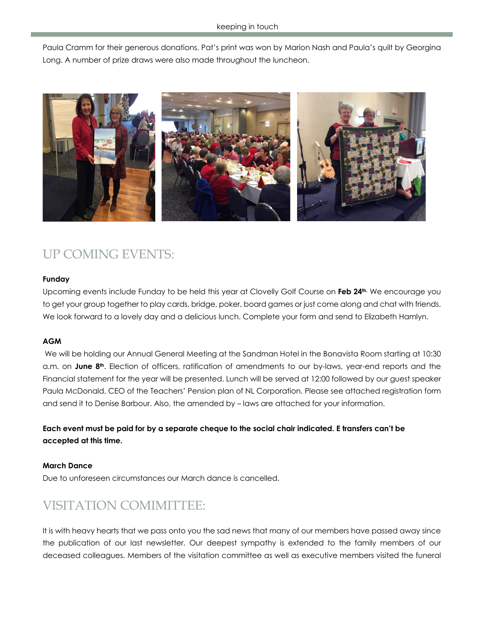Paula Cramm for their generous donations. Pat's print was won by Marion Nash and Paula's quilt by Georgina Long. A number of prize draws were also made throughout the luncheon.



# UP COMING EVENTS:

### **Funday**

Upcoming events include Funday to be held this year at Clovelly Golf Course on **Feb 24th.** We encourage you to get your group together to play cards, bridge, poker, board games or just come along and chat with friends. We look forward to a lovely day and a delicious lunch. Complete your form and send to Elizabeth Hamlyn.

### **AGM**

We will be holding our Annual General Meeting at the Sandman Hotel in the Bonavista Room starting at 10:30 a.m. on **June 8th**. Election of officers, ratification of amendments to our by-laws, year-end reports and the Financial statement for the year will be presented. Lunch will be served at 12:00 followed by our guest speaker Paula McDonald, CEO of the Teachers' Pension plan of NL Corporation. Please see attached registration form and send it to Denise Barbour. Also, the amended by – laws are attached for your information.

**Each event must be paid for by a separate cheque to the social chair indicated. E transfers can't be accepted at this time.**

### **March Dance**

Due to unforeseen circumstances our March dance is cancelled.

### VISITATION COMIMITTEE:

It is with heavy hearts that we pass onto you the sad news that many of our members have passed away since the publication of our last newsletter. Our deepest sympathy is extended to the family members of our deceased colleagues. Members of the visitation committee as well as executive members visited the funeral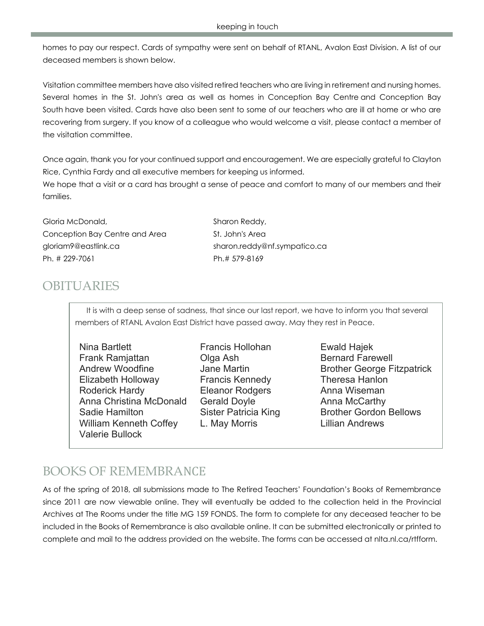homes to pay our respect. Cards of sympathy were sent on behalf of RTANL, Avalon East Division. A list of our deceased members is shown below.

Visitation committee members have also visited retired teachers who are living in retirement and nursing homes. Several homes in the St. John's area as well as homes in Conception Bay Centre and Conception Bay South have been visited. Cards have also been sent to some of our teachers who are ill at home or who are recovering from surgery. If you know of a colleague who would welcome a visit, please contact a member of the visitation committee.

Once again, thank you for your continued support and encouragement. We are especially grateful to Clayton Rice, Cynthia Fardy and all executive members for keeping us informed.

We hope that a visit or a card has brought a sense of peace and comfort to many of our members and their families.

Gloria McDonald, Sharon Reddy, Conception Bay Centre and Area St. John's Area gloriam9@eastlink.ca sharon.reddy@nf.sympatico.ca Ph. # 229-7061 Ph.# 579-8169

### **OBITUARIES**

It is with a deep sense of sadness, that since our last report, we have to inform you that several members of RTANL Avalon East District have passed away. May they rest in Peace.

Nina Bartlett Francis Hollohan Ewald Hajek Frank Ramiattan **Clanet Clanet Ash** Bernard Farewell Elizabeth Holloway Francis Kennedy Theresa Hanlon Roderick Hardy **Eleanor Rodgers** Anna Wiseman Anna Christina McDonald Gerald Doyle **Anna McCarthy** Sadie Hamilton **Sister Patricia King** Brother Gordon Bellows William Kenneth Coffey L. May Morris **Lillian Andrews** Valerie Bullock

Andrew Woodfine **Jane Martin** Brother George Fitzpatrick

# BOOKS OF REMEMBRANCE

As of the spring of 2018, all submissions made to The Retired Teachers' Foundation's Books of Remembrance since 2011 are now viewable online. They will eventually be added to the collection held in the Provincial Archives at The Rooms under the title MG 159 FONDS. The form to complete for any deceased teacher to be included in the Books of Remembrance is also available online. It can be submitted electronically or printed to complete and mail to the address provided on the website. The forms can be accessed at nlta.nl.ca/rtfform.